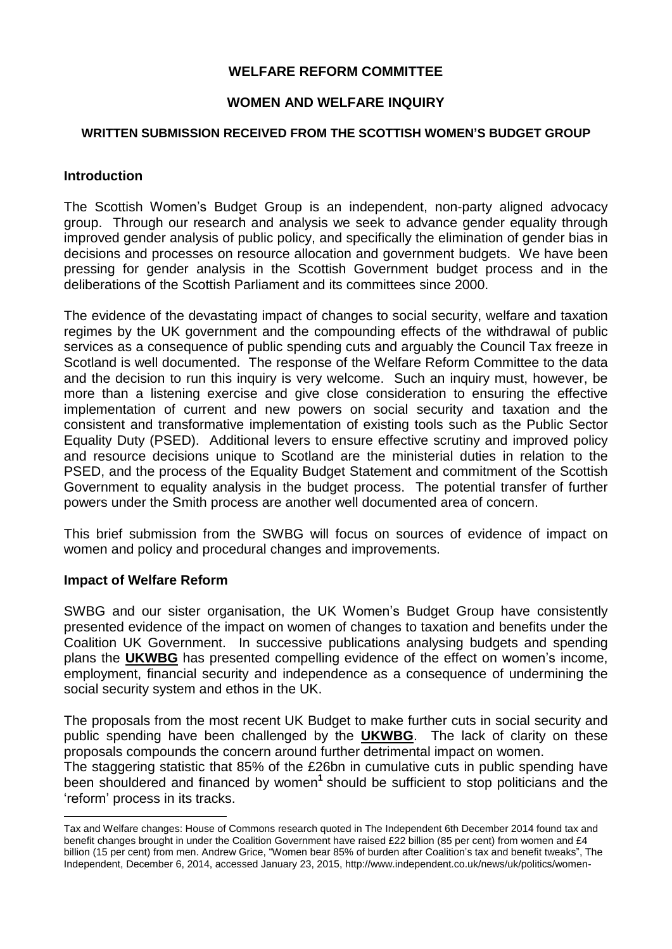# **WELFARE REFORM COMMITTEE**

# **WOMEN AND WELFARE INQUIRY**

### **WRITTEN SUBMISSION RECEIVED FROM THE SCOTTISH WOMEN'S BUDGET GROUP**

## **Introduction**

The Scottish Women's Budget Group is an independent, non-party aligned advocacy group. Through our research and analysis we seek to advance gender equality through improved gender analysis of public policy, and specifically the elimination of gender bias in decisions and processes on resource allocation and government budgets. We have been pressing for gender analysis in the Scottish Government budget process and in the deliberations of the Scottish Parliament and its committees since 2000.

The evidence of the devastating impact of changes to social security, welfare and taxation regimes by the UK government and the compounding effects of the withdrawal of public services as a consequence of public spending cuts and arguably the Council Tax freeze in Scotland is well documented. The response of the Welfare Reform Committee to the data and the decision to run this inquiry is very welcome. Such an inquiry must, however, be more than a listening exercise and give close consideration to ensuring the effective implementation of current and new powers on social security and taxation and the consistent and transformative implementation of existing tools such as the Public Sector Equality Duty (PSED). Additional levers to ensure effective scrutiny and improved policy and resource decisions unique to Scotland are the ministerial duties in relation to the PSED, and the process of the Equality Budget Statement and commitment of the Scottish Government to equality analysis in the budget process. The potential transfer of further powers under the Smith process are another well documented area of concern.

This brief submission from the SWBG will focus on sources of evidence of impact on women and policy and procedural changes and improvements.

#### **Impact of Welfare Reform**

1

SWBG and our sister organisation, the UK Women's Budget Group have consistently presented evidence of the impact on women of changes to taxation and benefits under the Coalition UK Government. In successive publications analysing budgets and spending plans the **[UKWBG](http://www.wbg.org.uk/)** has presented compelling evidence of the effect on women's income, employment, financial security and independence as a consequence of undermining the social security system and ethos in the UK.

The proposals from the most recent UK Budget to make further cuts in social security and public spending have been challenged by the **[UKWBG](http://wbg.org.uk/wp-content/uploads/2015/04/WBG-Budget-2015.pdf)**. The lack of clarity on these proposals compounds the concern around further detrimental impact on women. The staggering statistic that 85% of the £26bn in cumulative cuts in public spending have been shouldered and financed by women<sup>1</sup> should be sufficient to stop politicians and the 'reform' process in its tracks.

Tax and Welfare changes: House of Commons research quoted in The Independent 6th December 2014 found tax and benefit changes brought in under the Coalition Government have raised £22 billion (85 per cent) from women and £4 billion (15 per cent) from men. Andrew Grice, "Women bear 85% of burden after Coalition's tax and benefit tweaks", The Independent, December 6, 2014, accessed January 23, 2015, http://www.independent.co.uk/news/uk/politics/women-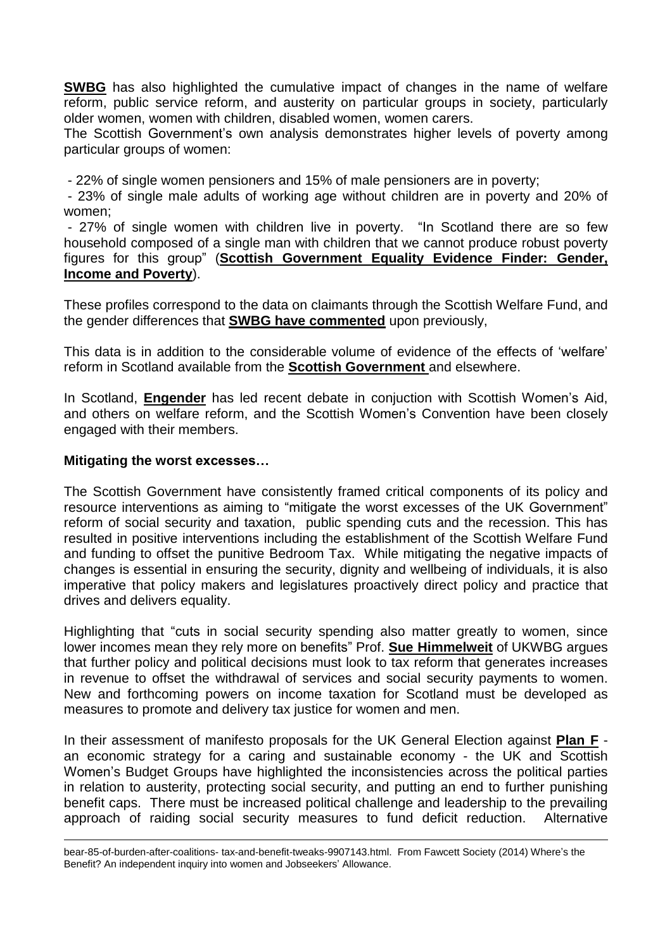**[SWBG](http://www.swbg.org.uk/)** has also highlighted the cumulative impact of changes in the name of welfare reform, public service reform, and austerity on particular groups in society, particularly older women, women with children, disabled women, women carers.

The Scottish Government's own analysis demonstrates higher levels of poverty among particular groups of women:

- 22% of single women pensioners and 15% of male pensioners are in poverty;

- 23% of single male adults of working age without children are in poverty and 20% of women;

- 27% of single women with children live in poverty. "In Scotland there are so few household composed of a single man with children that we cannot produce robust poverty figures for this group" (**Scottish [Government](http://www.gov.scot/Topics/People/Equality/Equalities/DataGrid) Equality Evidence Finder: Gender, Income and [Poverty](http://www.gov.scot/Topics/People/Equality/Equalities/DataGrid)**).

These profiles correspond to the data on claimants through the Scottish Welfare Fund, and the gender differences that **SWBG have [commented](http://www.engender.org.uk/news/blog/guest-blog-indyref-women-and-poverty-indyref-thursday-2/)** upon previously,

This data is in addition to the considerable volume of evidence of the effects of 'welfare' reform in Scotland available from the **Scottish [Government](http://www.gov.scot/Topics/People/welfarereform/analysis)** and elsewhere.

In Scotland, **[Engender](http://www.engender.org.uk/)** has led recent debate in conjuction with Scottish Women's Aid, and others on welfare reform, and the Scottish Women's Convention have been closely engaged with their members.

### **Mitigating the worst excesses…**

<u>.</u>

The Scottish Government have consistently framed critical components of its policy and resource interventions as aiming to "mitigate the worst excesses of the UK Government" reform of social security and taxation, public spending cuts and the recession. This has resulted in positive interventions including the establishment of the Scottish Welfare Fund and funding to offset the punitive Bedroom Tax. While mitigating the negative impacts of changes is essential in ensuring the security, dignity and wellbeing of individuals, it is also imperative that policy makers and legislatures proactively direct policy and practice that drives and delivers equality.

Highlighting that "cuts in social security spending also matter greatly to women, since lower incomes mean they rely more on benefits" Prof. **Sue [Himmelweit](http://www.taxjustice.net/2015/05/01/how-do-the-uk-parties-promises-on-tax-measure-up-on-gender-equality/)** of UKWBG argues that further policy and political decisions must look to tax reform that generates increases in revenue to offset the withdrawal of services and social security payments to women. New and forthcoming powers on income taxation for Scotland must be developed as measures to promote and delivery tax justice for women and men.

In their assessment of manifesto proposals for the UK General Election against **[Plan](http://www.swbg.org.uk/content/publications/PLAN-F-2015.pdf) F** an economic strategy for a caring and sustainable economy - the UK and Scottish Women's Budget Groups have highlighted the inconsistencies across the political parties in relation to austerity, protecting social security, and putting an end to further punishing benefit caps. There must be increased political challenge and leadership to the prevailing approach of raiding social security measures to fund deficit reduction. Alternative

bear-85-of-burden-after-coalitions- tax-and-benefit-tweaks-9907143.html. From Fawcett Society (2014) Where's the Benefit? An independent inquiry into women and Jobseekers' Allowance.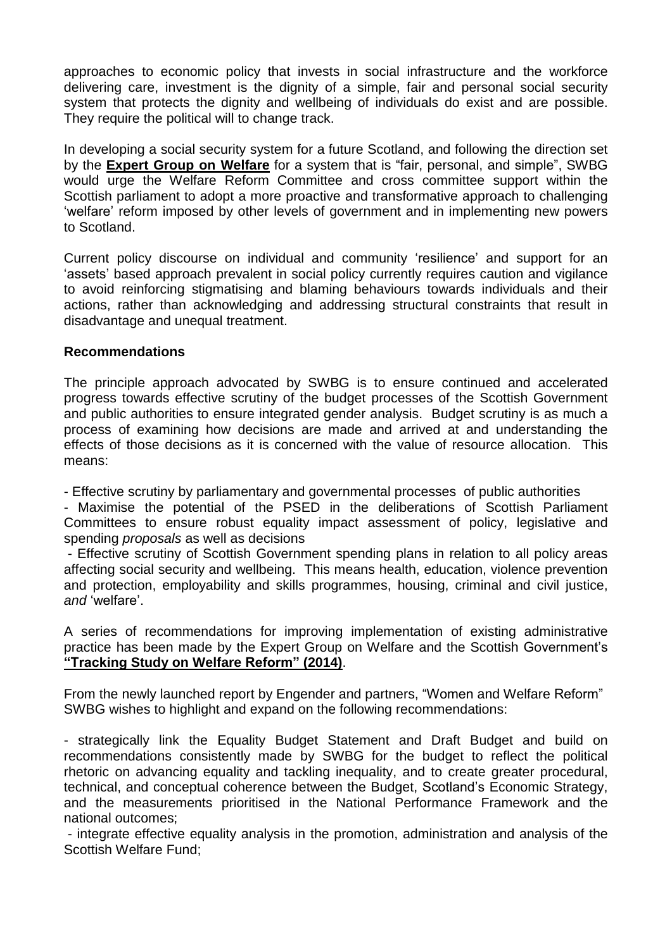approaches to economic policy that invests in social infrastructure and the workforce delivering care, investment is the dignity of a simple, fair and personal social security system that protects the dignity and wellbeing of individuals do exist and are possible. They require the political will to change track.

In developing a social security system for a future Scotland, and following the direction set by the **Expert Group on [Welfare](http://www.gov.scot/Resource/0045/00451915.pdf)** for a system that is "fair, personal, and simple", SWBG would urge the Welfare Reform Committee and cross committee support within the Scottish parliament to adopt a more proactive and transformative approach to challenging 'welfare' reform imposed by other levels of government and in implementing new powers to Scotland.

Current policy discourse on individual and community 'resilience' and support for an 'assets' based approach prevalent in social policy currently requires caution and vigilance to avoid reinforcing stigmatising and blaming behaviours towards individuals and their actions, rather than acknowledging and addressing structural constraints that result in disadvantage and unequal treatment.

## **Recommendations**

The principle approach advocated by SWBG is to ensure continued and accelerated progress towards effective scrutiny of the budget processes of the Scottish Government and public authorities to ensure integrated gender analysis. Budget scrutiny is as much a process of examining how decisions are made and arrived at and understanding the effects of those decisions as it is concerned with the value of resource allocation. This means:

- Effective scrutiny by parliamentary and governmental processes of public authorities

- Maximise the potential of the PSED in the deliberations of Scottish Parliament Committees to ensure robust equality impact assessment of policy, legislative and spending *proposals* as well as decisions

- Effective scrutiny of Scottish Government spending plans in relation to all policy areas affecting social security and wellbeing. This means health, education, violence prevention and protection, employability and skills programmes, housing, criminal and civil justice, *and* 'welfare'.

A series of recommendations for improving implementation of existing administrative practice has been made by the Expert Group on Welfare and the Scottish Government's **["Tracking](http://www.gov.scot/Publications/2014/05/7146) Study on Welfare Reform" (2014)**.

From the newly launched report by Engender and partners, "Women and Welfare Reform" SWBG wishes to highlight and expand on the following recommendations:

- strategically link the Equality Budget Statement and Draft Budget and build on recommendations consistently made by SWBG for the budget to reflect the political rhetoric on advancing equality and tackling inequality, and to create greater procedural, technical, and conceptual coherence between the Budget, Scotland's Economic Strategy, and the measurements prioritised in the National Performance Framework and the national outcomes;

- integrate effective equality analysis in the promotion, administration and analysis of the Scottish Welfare Fund;